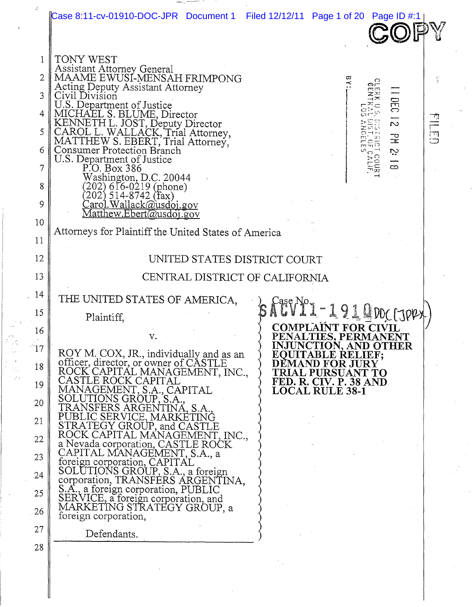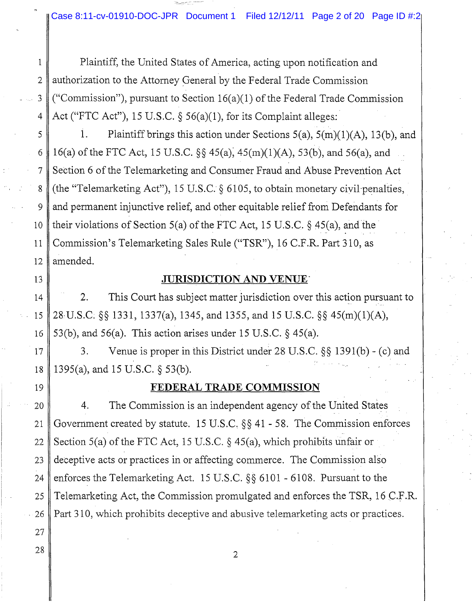1 Plaintiff, the United States of America, acting upon notification and 2 || authorization to the Attorney General by the Federal Trade Commission 3 ("Commission"), pursuant to Section 16(a)(1) of the Federal Trade Commission 4 | Act ("FTC Act"), 15 U.S.C.  $\S$  56(a)(1), for its Complaint alleges:

 $5 \parallel$  1. Plaintiff brings this action under Sections 5(a), 5(m)(1)(A), 13(b), and 6 | 16(a) of the FTC Act, 15 U.S.C.  $\S$  45(a), 45(m)(1)(A), 53(b), and 56(a), and 7 Section 6 of the Telemarketing and Consumer Fraud and Abuse Prevention Act 8 (the "Telemarketing Act"), 15 U.S.C. § 6105, to obtain monetary civil penalties,  $9 \parallel$  and permanent injunctive relief, and other equitable relief from Defendants for 10 their violations of Section 5(a) of the FTC Act, 15 U.S.C. § 45(a), and the 11 || Commission's Telemarketing Sales Rule ("TSR"), 16 C.F.R. Part 310, as 12 || amended.

#### 13 **JURISDICTION AND** VENUE"

 15 28·U.S.C; §§ 1331, 1337(a), 1345, and 1355, and 15 U.S.C. §§ 45(m)(1)(A), 16  $\vert$  53(b), and 56(a). This action arises under 15 U.S.C.  $\S$  45(a).  $14$  2. This Court has subject matter jurisdiction over this action pursuant to

17  $\parallel$  3. Venue is proper in this District under 28 U.S.C. §§ 1391(b) - (c) and 1395(a), and 15 U.S.C. § 53(b). 16 53(b), and 56(a). This action arises under 15 U.S.C. § 45(a).<br>17 3. Venue is proper in this District under 28 U.S.C. §§ 1391(b).<br>18 1395(a), and 15 U.S.C. § 53(b).

## 19 **FEDERAL TRADE COMMISSION**

20 4. The Commission is an independent agency of the United States 21 Government created by statute. 15 U.S.C.  $\S$ § 41 - 58. The Commission enforces 22 Section 5(a) of the FTC Act, 15 U.S.C. § 45(a), which prohibits unfair or 23 deceptive acts or practices in or affecting commerce. The Commission also 24 || enforces the Telemarketing Act. 15 U.S.C.  $\S\S 6101$  - 6108. Pursuant to the 25  $\parallel$  Telemarketing Act, the Commission promulgated and enforces the TSR, 16 C.F.R.  $126$  Part 310, which prohibits deceptive and abusive telemarketing acts or practices.

27  $\begin{array}{|c|c|c|c|c|}\n\hline\n28 & 2 \\
\hline\n\end{array}$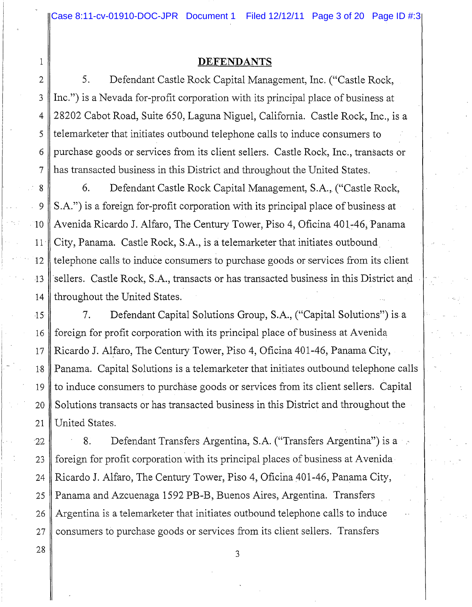Case 8:11-cv-01910-DOC-JPR Document 1 Filed 12/12/11 Page 3 of 20 Page ID #:3

#### **DEFENDANTS**

1

28

 Defendant Castle Rock Capital Management, Inc. ("Castle Rock, 3 Inc.") is a Nevada for-profit corporation with its principal place of business at 4 28202 Cabot Road, Suite 650, Laguna Niguel, California. Castle Rock, Inc., is a  $5 \parallel$  telemarketer that initiates outbound telephone calls to induce consumers to 6 purchase goods or services from its client sellers. Castle Rock, Inc., transacts or 7 has transacted business in this District and throughout the United States.  $2 \parallel 5$ .

 8 6. Defendant Castle Rock Capital Management, S.A., ("Castle Ruck,  $9 \parallel$  S.A.") is a foreign for-profit corporation with its principal place of business at 10 || Avenida Ricardo J. Alfaro, The Century Tower, Piso 4, Oficina 401-46, Panama 11 | City, Panama. Castle Rock, S.A., is a telemarketer that initiates outbound 12  $\parallel$  telephone calls to induce consumers to purchase goods or services from its client 13 Sellers. Castle Rock, S.A., transacts or has transacted business in this District and 14  $\parallel$  throughout the United States.

15 7. Defendant Capital Solutions Group, S.A., ("Capital Solutions") is a 14 sellers. Castle Rock, S.A., transacts or has transacted business in this District and<br>
16 throughout the United States.<br>
15 7. Defendant Capital Solutions Group, S.A., ("Capital Solutions") is a<br>
16 foreign for profit c 17 Ricardo J. Alfaro, The Century Tower, Piso 4, Oficina 401-46, Panama City, 18 Panama. Capital Solutions is a telemarketer that initiates outbound telephone calls 19 to induce consumers to purchase goods or services from its client sellers. Capital 20  $\parallel$  Solutions transacts or has transacted business in this District and throughout the 21 | United States.

 8. Defendant Transfers Argentina, S.A. ("Transfers Argentina") is a  $-22$ 23 || foreign for profit corporation with its principal places of business at Avenida 24 Ricardo J. Alfaro, The Century Tower, Piso 4, Oficina 401-46, Panama City, 25 || Panama and Azcuenaga 1592 PB-B, Buenos Aires, Argentina. Transfers 26  $\parallel$  Argentina is a telemarketer that initiates outbound telephone calls to induce 27  $\parallel$  consumers to purchase goods or services from its client sellers. Transfers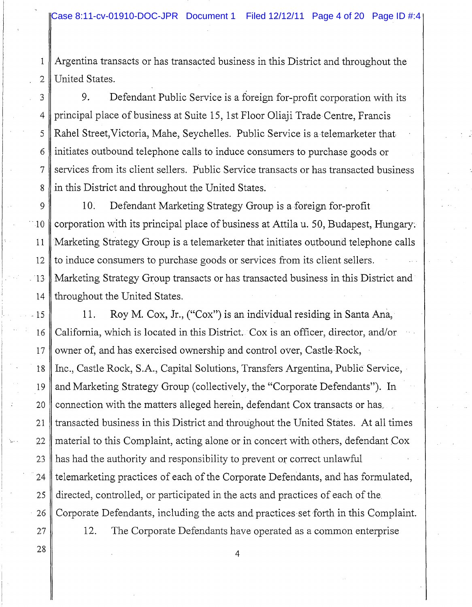1 Argentina transacts or has transacted business in this District and throughout the 2 United States.

3 || 9. Defendant Public Service is a foreign for-profit corporation with its 4 principal place of business at Suite 15, 1st Floor Oliaji Trade Centre, Francis 5 || Rahel Street, Victoria, Mahe, Seychelles. Public Service is a telemarketer that 6  $\parallel$  initiates outbound telephone calls to induce consumers to purchase goods or 7 services from its client sellers. Public Service transacts or has transacted business 8  $\parallel$  in this District and throughout the United States.

9 | 10. Defendant Marketing Strategy Group is a foreign for-profit 10  $\parallel$  corporation with its principal place of business at Attila u. 50, Budapest, Hungary. 11 Marketing Strategy Group is a telemarketer that initiates outbound telephone calls 12  $\parallel$  to induce consumers to purchase goods or services from its client sellers. 13 Marketing Strategy Group transacts or has transacted business in this District and 14  $\parallel$  throughout the United States.

 $-15$  11. Roy M. Cox, Jr., ("Cox") is an individual residing in Santa Ana, 16 California, which is located in this District. Cox is an officer, director, and/or 17 owner of, and has exercised ownership and control over, Castle-Rock, 18 || Inc., Castle Rock, S.A., Capital Solutions, Transfers Argentina, Public Service, 19 and Marketing Strategy Group (collectively, the "Corporate Defendants"). In 20  $\parallel$  connection with the matters alleged herein, defendant Cox transacts or has. 21  $\parallel$  transacted business in this District and throughout the United States. At all times 22 material to this Complaint, acting alone or in concert with others, defendant Cox 23  $\parallel$  has had the authority and responsibility to prevent or correct unlawful 24  $\parallel$  telemarketing practices of each of the Corporate Defendants, and has formulated, 25  $\parallel$  directed, controlled, or participated in the acts and practices of each of the 26 Corporate Defendants, including the acts and practices set forth in this Complaint. 27  $\parallel$  12. The Corporate Defendants have operated as a common enterprise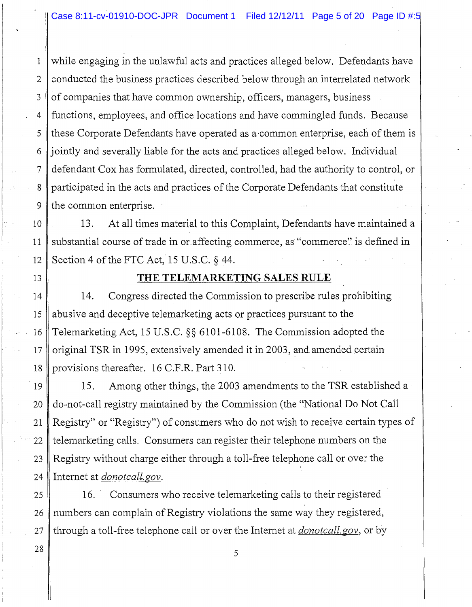1 while engaging in the unlawful acts and practices alleged below. Defendants have 2  $\parallel$  conducted the business practices described below through an interrelated network  $3 \parallel$  of companies that have common ownership, officers, managers, business 4 functions, employees, and office locations and have commingled funds. Because 5  $\parallel$  these Corporate Defendants have operated as a common enterprise, each of them is 6 jointly and severally liable for the acts and practices alleged below. Individual 7 defendant Cox has formulated, directed, controlled, had the authority to control, or 8 participated in the acts and practices of the Corporate Defendants that constitute  $9 \parallel$  the common enterprise.

10  $\parallel$  13. At all times material to this Complaint, Defendants have maintained a 11 substantial course of trade in or affecting commerce, as "commerce" is defined in 12 Section 4 of the FTC Act, 15 U.S.C.  $\S$  44.

#### 13 **THE TELEMARKETING SALES RULE**

 $14$  14. Congress directed the Commission to prescribe rules prohibiting 15  $\parallel$  abusive and deceptive telemarketing acts or practices pursuant to the 16 Telemarketing Act, 15 U.S.C. §§ 6101-6108. The Commission adopted the 17 original TSR in 1995, extensively amended it in 2003, and amended certain 18 provisions thereafter. 16 C.F.R. Part 310.

19 15. Among other things, the 2003 amendments to the TSR established a 20 do-not-call registry maintained by the Commission (the "National Do Not Call 21 Registry" or "Registry") of consumers who do not wish to receive certain types of 22  $\parallel$  telemarketing calls. Consumers can register their telephone numbers on the 23 Registry without charge either through a toll-free telephone call or over the 24 Internet at *donotcall.gov.* 

 25 16. Consumers who receive telemarketing calls to their registered Consumers who receive telemarketing calls to their registered 26  $\parallel$  numbers can complain of Registry violations the same way they registered, 27 through a toll-free telephone call or over the Internet at *donotcall.gov,* or by

 $28 \parallel$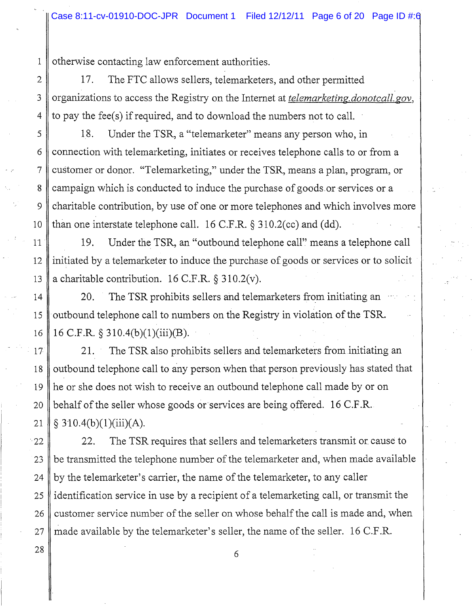1 || otherwise contacting law enforcement authorities.

2 | 17. The FTC allows sellers, telemarketers, and other permitted 3 organizations to access the Registry on the Internet at *telemarketing. donotcall. gov,*   $4 \parallel$  to pay the fee(s) if required, and to download the numbers not to call.

5 18. Under the TSR, a "telemarketer" means any person who, in 6  $\parallel$  connection with telemarketing, initiates or receives telephone calls to or from a 7 customer or donor. "Telemarketing," under the TSR, means a plan, program, or 8  $\parallel$  campaign which is conducted to induce the purchase of goods or services or a 9  $\parallel$  charitable contribution, by use of one or more telephones and which involves more 10 than one interstate telephone call. 16 C.F.R.  $\S 310.2$ (cc) and (dd).

 $11$  | 19. Under the TSR, an "outbound telephone call" means a telephone call 12  $\parallel$  initiated by a telemarketer to induce the purchase of goods or services or to solicit 13 || a charitable contribution. 16 C.F.R.  $\S 310.2(v)$ .

 $14$  | 20. The TSR prohibits sellers and telemarketers from initiating an 15 outbound telephone call to numbers on the Registry in violation of the TSR. 16 16 C.F.R. § 310.4(b)(1)(iii)(B).

17 21. The TSR also prohibits sellers and telemarketers from initiating an 18  $\parallel$  outbound telephone call to any person when that person previously has stated that 19 he or she does not wish to receive an outbound telephone call made by or on 20  $\parallel$  behalf of the seller whose goods or services are being offered. 16 C.F.R. 21  $\frac{1}{2}$  \$ 310.4(b)(1)(iii)(A).

 $\parallel$  22. The TSR requires that sellers and telemarketers transmit or cause to  $\parallel$  be transmitted the telephone number of the telemarketer and, when made available  $\parallel$  by the telemarketer's carrier, the name of the telemarketer, to any caller 25 || identification service in use by a recipient of a telemarketing call, or transmit the  $\parallel$  customer service number of the seller on whose behalf the call is made and, when 27 made available by the telemarketer's seller, the name of the seller. 16 C.F.R.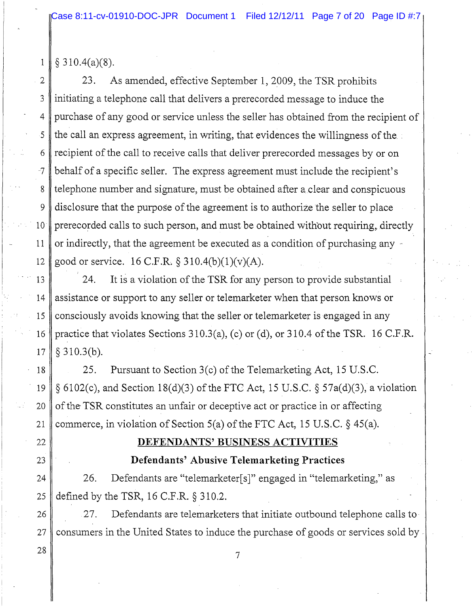$1 \parallel \xi$  310.4(a)(8).

23. 3 initiating a telephone call that delivers a prerecorded message to induce the 4 purchase of any good or service unless the seller has obtained from the recipient of 5  $\parallel$  the call an express agreement, in writing, that evidences the willingness of the  $\perp$ 6  $\parallel$  recipient of the call to receive calls that deliver prerecorded messages by or on -7 behalf of a specific seller. The express agreement must include the recipient's  $8 \parallel$  telephone number and signature, must be obtained after a clear and conspicuous  $9 \parallel$  disclosure that the purpose of the agreement is to authorize the seller to place 10 prerecorded calls to such person, and must be obtained without requiring, directly 11  $\parallel$  or indirectly, that the agreement be executed as a condition of purchasing any  $\sim$ 12 | good or service. 16 C.F.R.  $\S 310.4(b)(1)(v)(A)$ . 2 23. As amended, effective September 1, 2009, the TSR prohibits

13  $\parallel$  24. It is a violation of the TSR for any person to provide substantial 14 assistance or support to any seller or telemarketer when that person knows or 15  $\parallel$  consciously avoids knowing that the seller or telemarketer is engaged in any 16 practice that violates Sections 310.3(a), (c) or (d), or 310.4 of the TSR. 16 C.F.R.  $17 \nparallel \S 310.3(b)$ .

 $\parallel$  25. Pursuant to Section 3(c) of the Telemarketing Act, 15 U.S.C.  $\parallel$  § 6102(c), and Section 18(d)(3) of the FTC Act, 15 U.S.C. § 57a(d)(3), a violation  $\parallel$  of the TSR constitutes an unfair or deceptive act or practice in or affecting 21 commerce, in violation of Section 5(a) of the FTC Act, 15 U.S.C.  $\S$  45(a).

### 22 **DEFENDANTS' BUSINESS ACTIVITIES**

#### 23 **Defendants' Abusive Telemarketing Practices**

24 | 26. Defendants are "telemarketer[s]" engaged in "telemarketing," as 25  $\parallel$  defined by the TSR, 16 C.F.R.  $\S$  310.2.

26  $\parallel$  27. Defendants are telemarketers that initiate outbound telephone calls to 27  $\parallel$  consumers in the United States to induce the purchase of goods or services sold by -

 $\begin{array}{c|c|c|c} 28 & & & & & & 7 \end{array}$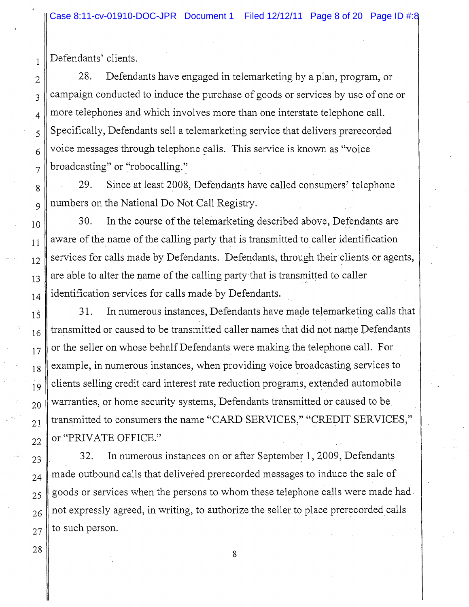$_1$  Defendants' clients.

 $_2$  | 28. Defendants have engaged in telemarketing by a plan, program, or  $_3$  campaign conducted to induce the purchase of goods or services by use of one or  $_4$  | more telephones and which involves more than one interstate telephone call.  $_5$  Specifically, Defendants sell a telemarketing service that delivers prerecorded  $6 \parallel$  voice messages through telephone calls. This service is known as "voice  $_7 \parallel$  broadcasting" or "robocalling."

 $\|$  29. Since at least 2008, Defendants have called consumers' telephone  $9$  numbers on the National Do Not Call Registry.

 $_{10}$  30. In the course of the telemarketing described above, Defendants are  $_{11}$  aware of the name of the calling party that is transmitted to caller identification  $_{12}$  services for calls made by Defendants. Defendants, through their clients or agents,  $_{13}$  are able to alter the name of the calling party that is transmitted to caller  $_{14}$  identification services for calls made by Defendants.

 $15$  31. In numerous instances, Defendants have made telemarketing calls that  $_{16}$  transmitted or caused to be transmitted caller names that did not name Defendants  $_{17}$  or the seller on whose behalf Defendants were making the telephone call. For  $_{18}$  example, in numerous instances, when providing voice broadcasting services to  $_{19}$  clients selling credit card interest rate reduction programs, extended automobile 20 warranties, or home security systems, Defendants transmitted *or* caused to be.  $_{21}$  transmitted to consumers the name "CARD SERVICES," "CREDIT SERVICES,"  $_{22}$  || or "PRIVATE OFFICE."

 $23$  32. In numerous instances on or after September 1, 2009, Defendants  $_{24}$   $\parallel$  made outbound calls that delivered prerecorded messages to induce the sale of  $25 \parallel$  goods or services when the persons to whom these telephone calls were made had.  $_{26}$  not expressly agreed, in writing, to authorize the seller to place prerecorded calls  $_{27}$  to such person.

 $\begin{array}{|c|c|c|c|c|}\n\hline\n28 & & & & 8 \\
\hline\n\end{array}$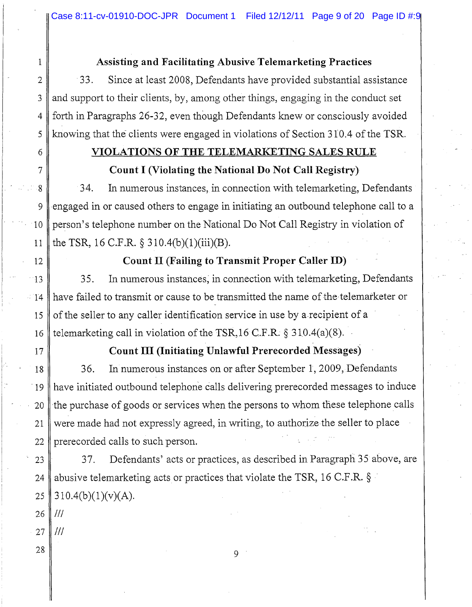## 1 **Assisting and Facilitating Abusive Telemarketing Practices**

2  $\parallel$  33. Since at least 2008, Defendants have provided substantial assistance  $3 \parallel$  and support to their clients, by, among other things, engaging in the conduct set 4 forth in Paragraphs 26-32, even though Defendants knew or consciously avoided 5 knowing that the clients were engaged in violations of Section 310.4 of the TSR.

# 6 **VIOLATIONS OF THE TELEMARKETING SALES RULE**

## 7 **Count I (Violating the National Do Not Call Registry)**

8 34. In numerous instances, in connection with telemarketing, Defendants 9 engaged in or caused others to engage in initiating an outbound telephone call to a 10 person's telephone number on the National Do Not Call Registry in violation of 11 || the TSR, 16 C.F.R.  $\S 310.4(b)(1)(iii)(B)$ . knowing that the clients were engaged in violations of Section 310.4 of the TSR.<br> **VIOLATIONS OF THE TELEMARKETING SALES RULE**<br> **Count I (Violating the National Do Not Call Registry)**<br>
34. In numerous instances, in connect

4

## 12 **Count II (Failing to Transmit Proper Caller ID)**

 $13 \parallel$  35. In numerous instances, in connection with telemarketing, Defendants  $\parallel$  14 | have failed to transmit or cause to be transmitted the name of the telemarketer or 15 of the seller to any caller identification service in use by a recipient of a 16 telemarketing call in violation of the TSR, 16 C.F.R.  $\S$  310.4(a)(8).

## 17 **Count III (Initiating Unlawful Prerecorded Messages)**

18 36. In numerous instances on or after September 1, 2009, Defendants - 19 have initiated outbound telephone calls delivering prerecorded messages to induce 20 the purchase of goods or services when the persons to whom these telephone calls 21 were made had not expressly agreed, in writing, to authorize the seller to place 22 || prerecorded calls to such person. 36. In numerous instances on or after September 1, 2009, Defendants<br>
23 have initiated outbound telephone calls delivering prerecorded messages to induce<br>
20 the purchase of goods or services when the persons to whom these

24 || abusive telemarketing acts or practices that violate the TSR, 16 C.F.R.  $\S$ 25 310.4(b)(1)(v)(A).

 $26$  |  $111$ 

- $27$  || ///
- $\begin{array}{c|c} 28 & 9 \end{array}$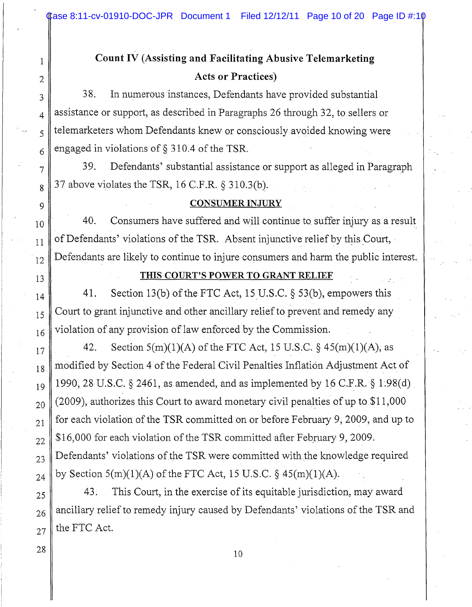# Count IV (Assisting and Facilitating Abusive Telemarketing Acts or Practices)

 $3 \parallel$  38. In numerous instances, Defendants have provided substantial  $_4$  || assistance or support, as described in Paragraphs 26 through 32, to sellers or  $_5$  telemarketers whom Defendants knew or consciously avoided knowing were  $6 \parallel$  engaged in violations of § 310.4 of the TSR.

 $7 \parallel 39$ . Defendants' substantial assistance or support as alleged in Paragraph  $\{8 \mid 37 \text{ above violates the TSR, 16 C.F.R. } \S 310.3(b). \}$ 

### 9 CONSUMER INJURY

 $_{10}$   $\parallel$  40. Consumers have suffered and will continue to suffer injury as a result  $_{11}$  of Defendants' violations of the TSR. Absent injunctive relief by this Court,  $_{12}$  Defendants are likely to continue to injure consumers and harm the public interest.

1

2

# 13 THIS COURT'S POWER TO GRANT RELIEF

 $14$  41. Section 13(b) of the FTC Act, 15 U.S.C. § 53(b), empowers this  $_{15}$  Court to grant injunctive and other ancillary relief to prevent and remedy any  $_{16}$  violation of any provision of law enforced by the Commission.

 $17$  42. Section 5(m)(1)(A) of the FTC Act, 15 U.S.C. § 45(m)(1)(A), as  $_{18}$  || modified by Section 4 of the Federal Civil Penalties Inflation Adjustment Act of  $_{19}$  | 1990, 28 U.S.C. § 2461, as amended, and as implemented by 16 C.F.R. § 1.98(d)  $_{20}$  (2009), authorizes this Court to award monetary civil penalties of up to \$11,000  $_{21}$  for each violation of the TSR committed on or before February 9, 2009, and up to  $22 \times 15,000$  for each violation of the TSR committed after February 9, 2009.  $_{23}$  Defendants' violations of the TSR were committed with the knowledge required  $_{24}$  by Section 5(m)(1)(A) of the FTC Act, 15 U.S.C. § 45(m)(1)(A).

 $25$  43. This Court, in the exercise of its equitable jurisdiction, may award  $_{26}$  ancillary relief to remedy injury caused by Defendants' violations of the TSR and  $_{27}$  the FTC Act.

 $\begin{array}{c|c|c|c} \hline 28 & 10 \end{array}$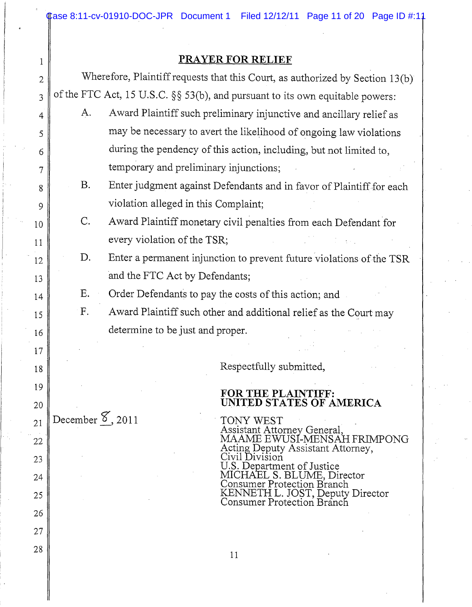Case 8:11-cv-01910-DOC-JPR Document 1 Filed 12/12/11 Page 11 of 20 Page ID #:11

#### 1 **PRAYER FOR RELIEF**

2 Wherefore, Plaintiff requests that this Court, as authorized by Section 13(b) 3 || of the FTC Act, 15 U.S.C.  $\S$ § 53(b), and pursuant to its own equitable powers: Award Plaintiff such preliminary injunctive and ancillary relief as may be necessary to avert the likelihood of ongoing law violations during the pendency of this action, including, but not limited to, temporary and preliminary injunctions; Enter judgment against Defendants and in favor of Plaintiff for each violation alleged in this Complaint; Award Plaintiff monetary civil penalties from each Defendant for every violation of the TSR; Enter a permanent injunction to prevent future violations of the TSR and the FTC Act by Defendants; Order Defendants to pay the costs of this action; and Award Plaintiff such other and additional relief as the Court may determine to be just and proper. **FOR THE PLAINTIFF: UNITED STATES OF AMERICA**  21 December  $\delta$ , 2011 TONY WEST Assistant Attorney General, Acting Deputy Assistant Attorney, J  $\overline{\mathbf{r}}$ Ī Ī Ī 4 5 6 7 8 9 10 11 12 13 14 15 16 17 18 19 20 A. B. C. D. E. F. Respectfully submitted, 22 23 24 25 26 27 28 MAAME EWUSI-MENSAH FRIMPONG U.S. Department of Justice MICHAEL S. BLUME, Director Consumer Protection Branch KENNETH L. JOST, Deputy Director Consumer Protection Branch 11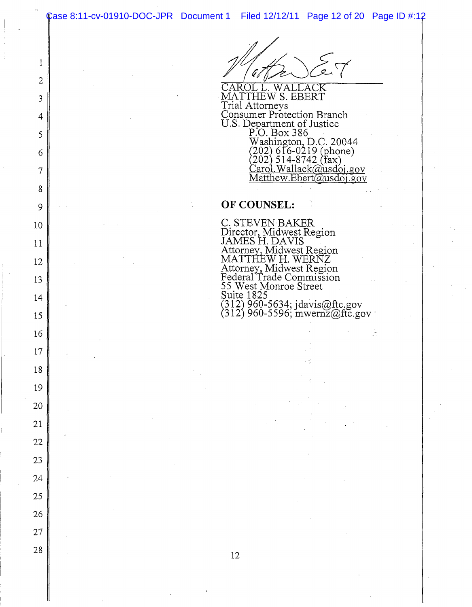1

2

8

16

17

18

19

20

21

22

23

24

25

26

27

 $\overline{\phantom{a}}$  $\overline{r}$  $\ddot{\cdot}$  $\ddot{\phantom{0}}$  $\mathbb{P}^{\bullet}$ . Box 386 .<br>, i<br>I  $\overline{)}$ CAROL L. WALLACK  $3 \parallel$  MATTHEW S. EBERT Trial Attorneys 4 | Consumer Protection Branch U.S. Department of Justice  $W$ ashington, D.C. 20044  $6 \parallel$  (202) 616-0219 (phone)<br>(202) 514-8742 (fax) 7 arol. Wallack @usdoi.gov  $M$ atthew.Ebert@usdoi.gov

#### $\mathbf{Q} \parallel \qquad \qquad \qquad \qquad \qquad \qquad \qquad \qquad \qquad \qquad \qquad \mathbf{OF}\text{ COUNSEL}:$

J  $\overline{\phantom{a}}$  $\text{JAMES H. DAVIS}$ ľ  $\overline{\phantom{a}}$ I Ĵ 55 West Monroe Street 10 C. STEVEN BAKER Director, Midwest Region Attorney, Midwest Region 12 MATTHEW H. WERNZ Attorney, Midwest Region 13 || Federal Trade Commission 14 Suite 1825  $(312)$  960-5634; jdavis@ftc.gov

 $\ddot{\phantom{0}}$  $\left(312\right)$  960-5596; mwernz@ftc.gov -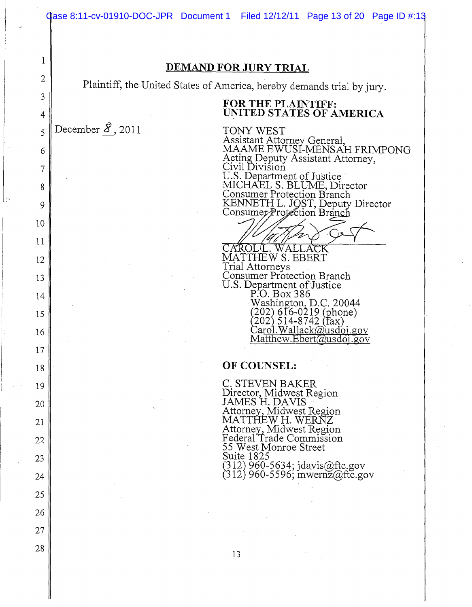#### DEMAND FOR JURY TRIAL

Plaintiff. the United States of America, hereby demands trial by jury.

#### UNITED STATES OF AMERICA FOR THE PLAINTIFF:

December  $8,2011$ 

1

2

3

4

5

6

7

8

9

10

11

12

13

14

15

16

17

18

19

20

21

22

23

24

25

26

27

28

 Assistant Attorney General, Acting Deputy Assistant Attorney, U.S. Department of Justice j  $\ddot{\phantom{0}}$ Ĺ .<br>مر TONY WEST MAAME EWUSI-MENSAH FRIMPONG U.S. Department of Justice<br>MICHAEL S. BLUME, Director Consumer Protection Branch Consumer Protection Branc U.S. Department of Justice<br>MICHAEL S. BLUME, Director<br>Consumer Protection Branch<br>KENNETH L. JOST, Deputy Director<br>Consumer Protection Branch

/ Van Part

CAROL L. WALLA MATTHEW S. EBERT i<br>I Î l<br>. Ī )  $\overline{\phantom{a}}$ Trial Attorneys Consumer Protection Branch U.S. Department of Justice P.O. Box 386 Washington, D.C. 20044<br>(202) 616-0219 (phone)<br>(202) 514-8742 (fax)<br><u>Carol.Wallack@usdoj.gov</u>  $M$ atthew.Ebert $\overline{a}$ usdoj.gov

OF COUNSEL:

 C. STEVEN BAKER Ĵ Director, Midwest Region<br>JAMES H. DAVIS Attorney, Midwest Region<br>MATTHEW H. WERNZ j j  $\overline{a}$ ٦ Attorney, Midwest Region<br>Federal Trade Commission 55 West Monroe Street Suite 1825

 $\mathbf{r}$ (312) 960-5634; jdavis@ftc.gov (312) 960-5596; mwernz@ftc.gov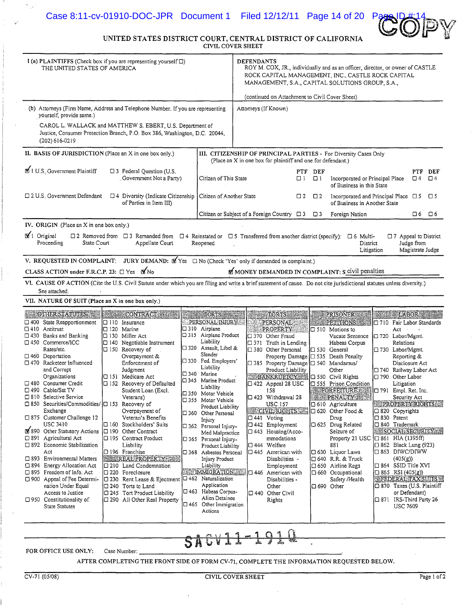

þ  $\overline{\phantom{a}}$ UNITED STATES DISTRICT COURT, CENTRAL DISTRICT OF CALIFORNIA CIVIL COVER SHEET

| THE UNITED STATES OF AMERICA                                                        | I (a) PLAINTIFFS (Check box if you are representing yourself $\square$ )                                                                                                 |              |                                                                                                                                  | <b>DEFENDANTS</b> | (continued on Attachment to Civil Cover Sheet) |                     |             | ROY M. COX, JR., individually and as an officer, director, or owner of CASTLE<br>ROCK CAPITAL MANAGEMENT, INC., CASTLE ROCK CAPITAL<br>MANAGEMENT, S.A., CAPITAL SOLUTIONS GROUP, S.A., |                                             |                                |  |
|-------------------------------------------------------------------------------------|--------------------------------------------------------------------------------------------------------------------------------------------------------------------------|--------------|----------------------------------------------------------------------------------------------------------------------------------|-------------------|------------------------------------------------|---------------------|-------------|-----------------------------------------------------------------------------------------------------------------------------------------------------------------------------------------|---------------------------------------------|--------------------------------|--|
| yourself, provide same.)                                                            | (b) Attorneys (Firm Name, Address and Telephone Number. If you are representing                                                                                          |              |                                                                                                                                  |                   | Attomeys (If Known)                            |                     |             |                                                                                                                                                                                         |                                             |                                |  |
| (202) 616-0219                                                                      | CAROL L. WALLACK and MATTHEW S. EBERT, U.S. Department of<br>Justice, Consumer Protection Branch, P.O. Box 386, Washington, D.C. 20044,                                  |              |                                                                                                                                  |                   |                                                |                     |             |                                                                                                                                                                                         |                                             |                                |  |
| II. BASIS OF JURISDICTION (Place an X in one box only.)                             |                                                                                                                                                                          |              | III. CITIZENSHIP OF PRINCIPAL PARTIES - For Diversity Cases Only<br>(Place an X in one box for plaintiff and one for defendant.) |                   |                                                |                     |             |                                                                                                                                                                                         |                                             |                                |  |
| 1 U.S. Government Plaintiff                                                         | □ 3 Federal Question (U.S.<br>Government Not a Party)                                                                                                                    |              | Citizen of This State                                                                                                            |                   |                                                | PTF DEF<br>$\Box$ 1 | $\Box$ 1    | Incorporated or Principal Place<br>of Business in this State                                                                                                                            |                                             | PTF<br>$\Box$ 4                |  |
| $\Box$ 2 U.S. Government Defendant                                                  | $\Box$ 4 Diversity (Indicate Citizenship<br>of Parties in Item III)                                                                                                      |              | Citizen of Another State                                                                                                         |                   |                                                | $\square$ 2         | $\square$ 2 | Incorporated and Principal Place $\Box$ 5 $\Box$ 5<br>of Business in Another State                                                                                                      |                                             |                                |  |
|                                                                                     |                                                                                                                                                                          |              | Citizen or Subject of a Foreign Country $\Box$ 3                                                                                 |                   |                                                |                     | $\square$   | Foreign Nation                                                                                                                                                                          |                                             | 口 6                            |  |
| IV. ORIGIN (Place an X in one box only.)<br>1 Original<br>Proceeding<br>State Court | $\Box$ 2 Removed from $\Box$ 3 Remanded from<br>Appellate Court                                                                                                          |              | $\Box$ 4 Reinstated or $\Box$ 5 Transferred from another district (specify):<br>Reopened                                         |                   |                                                |                     |             | $\Box$ 6 Multi-<br>District                                                                                                                                                             | $\Box$ 7 Appeal to District<br>Litigation   | Judge from<br>Magistrate Judge |  |
| CLASS ACTION under F.R.C.P. 23: □ Yes MNo                                           | V. REQUESTED IN COMPLAINT: JURY DEMAND: N Yes $\Box$ No (Check 'Yes' only if demanded in complaint.)                                                                     |              |                                                                                                                                  |                   |                                                |                     |             | MONEY DEMANDED IN COMPLAINT: \$ civil penalties                                                                                                                                         |                                             |                                |  |
|                                                                                     |                                                                                                                                                                          |              |                                                                                                                                  |                   |                                                |                     |             |                                                                                                                                                                                         |                                             |                                |  |
| See attached.                                                                       | VI. CAUSE OF ACTION (Cite the U.S. Civil Statute under which you are filing and write a brief statement of cause. Do not cite jurisdictional statutes unless diversity.) |              |                                                                                                                                  |                   |                                                |                     |             |                                                                                                                                                                                         |                                             |                                |  |
| VII. NATURE OF SUIT (Place an X in one box only.)                                   |                                                                                                                                                                          |              |                                                                                                                                  |                   |                                                |                     |             |                                                                                                                                                                                         |                                             |                                |  |
|                                                                                     |                                                                                                                                                                          |              |                                                                                                                                  |                   |                                                |                     |             |                                                                                                                                                                                         |                                             |                                |  |
| <b>MACTHER STATUTES AND</b>                                                         | <b>CONTRACT TEL</b>                                                                                                                                                      |              | TORTS <b>William</b>                                                                                                             |                   | <b>TORTS WILL</b>                              |                     |             | <b>PRISONER</b>                                                                                                                                                                         | <b>TABOR AREA</b>                           |                                |  |
| $\Box$ 400 State Reapportionment                                                    | $\Box$ 110 Insurance                                                                                                                                                     |              | PERSONAL INJURY                                                                                                                  |                   | PERSONAL                                       |                     |             | <b>PETITIONS</b>                                                                                                                                                                        | 710 Fair Labor Standards                    |                                |  |
| $\Box$ 410 Antitrust<br>$\Box$ 430 Banks and Banking                                | $\square$ 120 Marine<br>$\square$ 130 Miller Act                                                                                                                         |              | $\Box$ 310 Airplane<br>□ 315 Airplane Product                                                                                    |                   | PROPERTY<br>□ 370 Other Fraud                  |                     |             | J□ 510 Motions to<br>Vacate Sentence                                                                                                                                                    | Act<br>[□ 720 Labor/Mgmt.                   |                                |  |
| □ 450 Commerce/ICC                                                                  | $\Box$ 140 Negotiable Instrument                                                                                                                                         |              | Liability                                                                                                                        |                   | $\Box$ 371 Truth in Lending                    |                     |             | Habeas Corpus                                                                                                                                                                           | Relations                                   |                                |  |
| Rates/etc.                                                                          | $\Box$ 150 Recovery of                                                                                                                                                   |              | □ 320 Assault, Libel &                                                                                                           |                   | □ 380 Other Personal                           |                     |             | I□ 530 General                                                                                                                                                                          | □ 730 Labor/Mgmt.                           |                                |  |
| $\Box$ 460 Deportation                                                              | Overpayment &                                                                                                                                                            |              | Slander                                                                                                                          |                   |                                                |                     |             | Property Damage [□ 535 Death Penalty                                                                                                                                                    |                                             | Reporting &                    |  |
| □ 470 Racketeer Influenced                                                          | Enforcement of                                                                                                                                                           |              | □ 330 Fed. Employers'                                                                                                            |                   | □ 385 Property Damage □ 540 Mandamus/          |                     |             |                                                                                                                                                                                         |                                             | Disclosure Act                 |  |
| and Corrupt                                                                         | Judgment                                                                                                                                                                 |              | Liability                                                                                                                        |                   | Product Liability                              |                     |             | Other                                                                                                                                                                                   | □ 740 Railway Labor Act                     |                                |  |
| Organizations                                                                       | 151 Medicare Act                                                                                                                                                         | □ 340 Marine |                                                                                                                                  |                   |                                                |                     |             | BANKRUPTCY 16   0 550 Civil Rights                                                                                                                                                      | 790 Other Labor                             |                                |  |
| $\Box$ 480 Consumer Credit                                                          | □ 152 Recovery of Defaulted                                                                                                                                              |              | C 345 Marine Product                                                                                                             |                   | □ 422 Appeal 28 USC                            |                     |             | □ 555 Prison Condition                                                                                                                                                                  | Litigation                                  |                                |  |
| □ 490 Cable/Sat TV                                                                  | Student Loan (Excl.                                                                                                                                                      |              | Liability                                                                                                                        |                   | 158                                            |                     |             | <b>FORFEITURE/</b>                                                                                                                                                                      | □ 791 Empl. Ret. Inc.                       |                                |  |
| □ 810 Selective Service                                                             | Veterans)                                                                                                                                                                |              | □ 350 Motor Vehicle                                                                                                              |                   | □ 423 Withdrawal 28                            |                     |             | <b>STILL PENALIY TELEST</b>                                                                                                                                                             |                                             | Security Act                   |  |
| □ 850 Securities/Commodities/ □ 153 Recovery of                                     |                                                                                                                                                                          |              | □ 355 Motor Vehicle                                                                                                              |                   | <b>USC 157</b>                                 |                     |             | $\Box$ 610 Agriculture                                                                                                                                                                  | <b>PROPERTY RIGHTS</b>                      |                                |  |
| Exchange                                                                            | Overpayment of                                                                                                                                                           |              | Product Liability                                                                                                                |                   | <b>CIVIL RIGHTS - -</b>                        |                     |             | □ 620 Other Food &                                                                                                                                                                      | □ 820 Copyrights                            |                                |  |
| □ 875 Customer Challenge 12                                                         | Veteran's Benefits                                                                                                                                                       |              | □ 360 Other Personal                                                                                                             |                   | $\Box$ 441 Voting                              |                     |             | Drug                                                                                                                                                                                    | □ 830 Patent                                |                                |  |
| <b>USC 3410</b>                                                                     | □ 160 Stockholders' Suits                                                                                                                                                |              | Injury<br>□ 362 Personal Injury-                                                                                                 |                   | $\Box$ 442 Employment                          |                     |             | □ 625 Drug Related                                                                                                                                                                      | □ 840 Trademark                             |                                |  |
| 890 Other Statutory Actions                                                         | I□ 190 Other Contract                                                                                                                                                    |              | Med Malpractice                                                                                                                  |                   | □ 443 Housing/Acco-                            |                     |             | Seizure of                                                                                                                                                                              | <b>SOCIAL SECORITY 2.</b>                   |                                |  |
| □ 891 Agricultural Act                                                              | □ 195 Contract Product                                                                                                                                                   |              | □ 365 Personal Injury-                                                                                                           |                   | mmodations                                     |                     |             | Property 21 USC                                                                                                                                                                         | $\Box$ 861 HIA (1395ff)                     |                                |  |
| □ 892 Economic Stabilization                                                        | Liability                                                                                                                                                                |              | Product Liability                                                                                                                |                   | □ 444 Welfare                                  |                     |             | 881                                                                                                                                                                                     | $\Box$ 862 Black Lung (923)                 |                                |  |
| Act                                                                                 | □ 196 Franchise                                                                                                                                                          |              | □ 368 Asbestos Personal                                                                                                          |                   | □ 445 American with                            |                     |             | □ 630 Liquor Laws                                                                                                                                                                       | I□ 863 DIWC/DIWW                            |                                |  |
| $\Box$ 893 Environmental Matters                                                    | <b>NEREAL PROPERTY AND</b>                                                                                                                                               |              | Injury Product                                                                                                                   |                   | Disabilities -                                 |                     |             | □ 640 R.R. & Truck                                                                                                                                                                      | (405(g))                                    |                                |  |
| □ 894 Energy Allocation Act                                                         | □ 210 Land Condemnation                                                                                                                                                  |              | Liability                                                                                                                        |                   | Employment                                     |                     |             | $\Box$ 650 Airline Regs                                                                                                                                                                 | $\Box$ 864 SSID Title XVI                   |                                |  |
| $\square$ 895 Freedom of Info. Act                                                  | i□ 220 Foreclosure                                                                                                                                                       |              | IMMIGRATION 146 American with                                                                                                    |                   |                                                |                     |             | G60 Occupational                                                                                                                                                                        | $\square$ 865 RSI (405(g))                  |                                |  |
| □ 900 Appeal of Fee Determi-                                                        | □ 230 Rent Lease & Ejectment                                                                                                                                             |              | $\Box$ 462 Naturalization                                                                                                        |                   | Disabilities -                                 |                     |             | Safety /Health                                                                                                                                                                          | FEDERAL TAX SUITS                           |                                |  |
| nation Under Equal                                                                  | $\square$ 240 Torts to Land                                                                                                                                              |              | Application                                                                                                                      |                   | Other                                          |                     |             | □ 690 Other                                                                                                                                                                             | $\Box$ 870 Taxes (U.S. Plaintiff            |                                |  |
| Access to Justice                                                                   | I□ 245 Tort Product Liability                                                                                                                                            |              | □ 463 Habeas Corpus-                                                                                                             |                   | 440 Other Civil                                |                     |             |                                                                                                                                                                                         |                                             | or Defendant)                  |  |
| $\Box$ 950 Constitutionality of<br><b>State Statutes</b>                            | □ 290 All Other Real Property                                                                                                                                            |              | Alien Detainee<br>$\square$ 465 Other Immigration<br>Actions                                                                     |                   | Rights                                         |                     |             |                                                                                                                                                                                         | □ 871 IRS-Third Party 26<br><b>USC 7609</b> |                                |  |
|                                                                                     |                                                                                                                                                                          |              |                                                                                                                                  |                   |                                                |                     |             |                                                                                                                                                                                         |                                             |                                |  |
|                                                                                     |                                                                                                                                                                          |              | SACV11-191Q                                                                                                                      |                   |                                                |                     |             |                                                                                                                                                                                         |                                             |                                |  |
|                                                                                     |                                                                                                                                                                          |              |                                                                                                                                  |                   |                                                |                     |             |                                                                                                                                                                                         |                                             |                                |  |
| FOR OFFICE USE ONLY:                                                                | Case Number:<br>AFTER COMPLETING THE FRONT SIDE OF FORM CV-71, COMPLETE THE INFORMATION REQUESTED BELOW.                                                                 |              |                                                                                                                                  |                   |                                                |                     |             |                                                                                                                                                                                         |                                             |                                |  |
|                                                                                     |                                                                                                                                                                          |              |                                                                                                                                  |                   |                                                |                     |             |                                                                                                                                                                                         |                                             |                                |  |
| CV-71 (05/08)                                                                       |                                                                                                                                                                          |              | CIVIL COVER SHEET                                                                                                                |                   |                                                |                     |             |                                                                                                                                                                                         |                                             | Page 1 of 2                    |  |

 $\mathcal{S}_{\mathcal{A},\mathcal{A}}$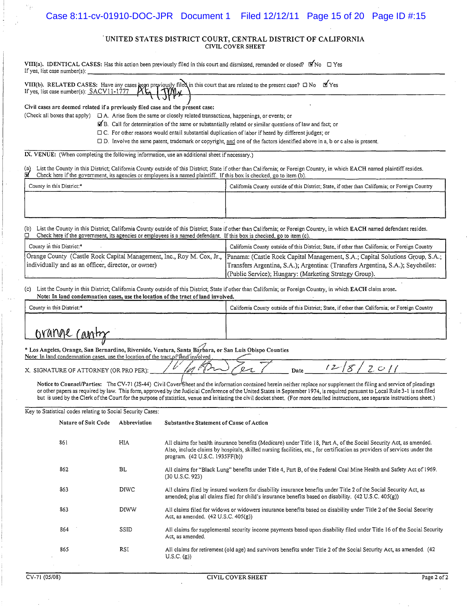#### Case 8:11-cv-01910-DOC-JPR Document 1 Filed 12/12/11 Page 15 of 20 Page ID #:15

#### · UNITED STATES DISTRICT COURT, CENTRAL DISTRICT OF CALIFORNIA CIVIL COVER SHEET

 VIII(a). IDENTICAL CASES: Has this action been previously filed in this court and dismissed, remanded or closed? 5l"No 0 Yes If yes, list case number(s): \_\_\_\_\_\_\_\_\_\_\_\_\_\_\_\_\_\_\_\_\_\_\_\_\_\_\_\_\_\_\_\_\_\_\_\_\_\_\_\_\_\_\_\_\_\_\_\_\_\_ \_ . \_ If yes, list case number(s):

| VIII(b). RELATED CASES: Have any cases been previously filed in this court that are related to the present case? $\Box$ No $\Box$ Yes |  |
|---------------------------------------------------------------------------------------------------------------------------------------|--|
|                                                                                                                                       |  |

 Civil cases are deemed related if a previously filed case and the present case:

(Check all boxes that apply)  $\Box$  A. Arise from the same or closely related transactions, happenings, or events; or

~B. Call for detennination of the same or substantially related or similar questions oflaw and fact; or

DC. For other reasons would entail substantial duplication oflabor ifheard by different judges; or

 $\Box$  D. Involve the same patent, trademark or copyright, and one of the factors identified above in a, b or c also is present.

LX. VENUE: (When completing the following information, use an additional sheet if necessary.)

 (a} List the COlmty in this District; California County outside of this District; State if other than California; or Foreign Country, in which EACH named plaintiff resides.  $\mathbb{E}$  Check here if the government, its agencies or employees is a named plaintiff. If this box is checked, go to item (b). If yes, list case number(s):  $SACV11-1777$  <br>
Civil cases are deemed related if a previously filed case and the present case:<br>
Check all boxes that apply)  $\Box$  A. Arise from the same or closely related transactions, happeni

| County in this District:* | California County outside of this District; State, if other than California; or Foreign Country |
|---------------------------|-------------------------------------------------------------------------------------------------|
|                           |                                                                                                 |
|                           |                                                                                                 |
|                           |                                                                                                 |

 (b) List the County in this District; California County outside of this District; State if other than California; or Foreign Country, in which EACH named defendant resides. Check here if the government, its agencies or employees is a named defendant. If this box is checked, go to item (c).

| Check here if the government, its agencies or employees is a named defendant. If this box is checked, go to item (c).                                                                                                                                    |                                                                                                                                                                                                                            |
|----------------------------------------------------------------------------------------------------------------------------------------------------------------------------------------------------------------------------------------------------------|----------------------------------------------------------------------------------------------------------------------------------------------------------------------------------------------------------------------------|
| County in this District:*                                                                                                                                                                                                                                | California County outside of this District; State, if other than California; or Foreign Country                                                                                                                            |
| Orange County (Castle Rock Capital Management, Inc., Roy M. Cox, Jr.,<br>individually and as an officer, director, or owner)                                                                                                                             | Panama: (Castle Rock Capital Management, S.A.; Capital Solutions Group, S.A.;<br>Transfers Argentina, S.A.); Argentina: (Transfers Argentina, S.A.); Seychelles:<br>(Public Service); Hungary: (Marketing Strategy Group). |
| List the County in this District; California County outside of this District; State if other than California; or Foreign Country, in which EACH claim arose.<br>(c)<br>Note: In land condemnation cases, use the location of the tract of land involved. |                                                                                                                                                                                                                            |
| County in this District:*                                                                                                                                                                                                                                |                                                                                                                                                                                                                            |
|                                                                                                                                                                                                                                                          | California County outside of this District; State, if other than California; or Foreign Country                                                                                                                            |

| County in this District:*                                                                             | California County outside of this District; State, if other than California; or Foreign Country |
|-------------------------------------------------------------------------------------------------------|-------------------------------------------------------------------------------------------------|
| ovange cantry                                                                                         |                                                                                                 |
|                                                                                                       |                                                                                                 |
| * Los Angeles, Orange, San Bernardino, Riverside, Ventura, Santa Barbara, or San Luis Obispo Counties |                                                                                                 |
| Note: In land condemnation cases, use the location of the tract of land involved                      |                                                                                                 |
| X. SIGNATURE OF ATTORNEY (OR PRO PER):                                                                | 2011<br>Date                                                                                    |

 Notice to CounsellParties: The CV-71 (1S-44) Civil Coverlsheet and the infonnation contained herein neither replace nor supplement the filing and service of pleadings or other papers as required by law. This form, approved by the 1udicial Conference of the United States in September 1974, is required pursuant to Local Rule 3-1 is not filed but is used by the Clerk ofthe Court for the purpose of statistics, venue and initiating the civil docket sheet. (For more detailed instructions, see separate instructions sheet.) is

Key to Statistical codes relating to Social Security Cases:

| Nature of Suit Code | Abbreviation | <b>Substantive Statement of Cause of Action</b>                                                                                                                                                                                                                                    |
|---------------------|--------------|------------------------------------------------------------------------------------------------------------------------------------------------------------------------------------------------------------------------------------------------------------------------------------|
| 861                 | HIA          | All claims for health insurance benefits (Medicare) under Title 18, Part A, of the Social Security Act, as amended.<br>Also, include claims by hospitals, skilled nursing facilities, etc., for certification as providers of services under the<br>program. (42 U.S.C. 1935FF(b)) |
| 862                 | <b>BL</b>    | All claims for "Black Lung" benefits under Title 4, Part B, of the Federal Coal Mine Health and Safety Act of 1969.<br>(30 U.S.C. 923)                                                                                                                                             |
| 863                 | <b>DIWC</b>  | All claims filed by insured workers for disability insurance benefits under Title 2 of the Social Security Act, as<br>amended; plus all claims filed for child's insurance benefits based on disability. $(42 \text{ U.S.C. } 405(g))$                                             |
| 863                 | <b>DIWW</b>  | All claims filed for widows or widowers insurance benefits based on disability under Title 2 of the Social Security<br>Act, as amended. (42 U.S.C. 405(g))                                                                                                                         |
| 864                 | SSID         | All claims for supplemental security income payments based upon disability filed under Title 16 of the Social Security<br>Act, as amended.                                                                                                                                         |
| 865                 | RSI          | All claims for retirement (old age) and survivors benefits under Title 2 of the Social Security Act, as amended. (42<br>U.S.C. (g)                                                                                                                                                 |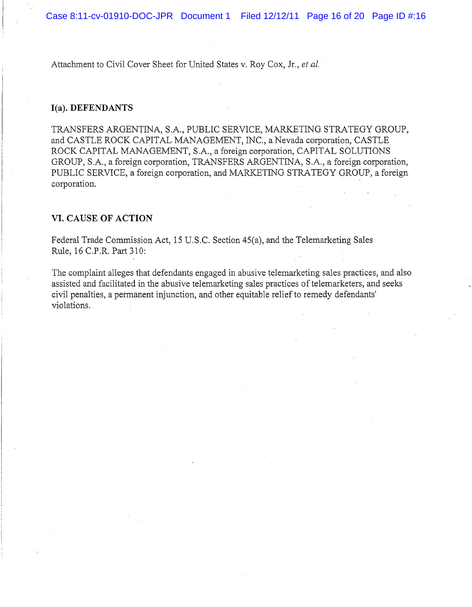Attachment to Civil Cover Sheet for United States v. Roy Cox, Jr., *et al.* 

#### **I(a). DEFENDANTS**

 TRANSFERS ARGENTINA, S.A., PUBLIC SERVICE,MARKETING STRATEGY GROUP, and CASTLE ROCK CAPITAL MANAGEMENT, INC., a Nevada corporation, CASTLE ROCK CAPITAL MANAGEMENT, S.A., a foreign corporation, CAPITAL SOLUTIONS GROUP, S.A., a foreign corporation, TRANSFERS ARGENTINA, S.A., a foreign corporation, PUBLIC SERVICE, a foreign corporation, and MARKETING STRATEGY GROUP, a foreign corporation.

#### **VI. CAUSE OF ACTION**

 Federal Trade Commission Act, IS U.S.C. Section 4S(a), and the Telemarketing Sales Rule, 16 C.P.R. Part 310:

 The complaint alleges that defendants engaged in abusive telemarketing sales practices, and also assisted and facilitated in the abusive telemarketing sales practices of telemarketers, and seeks civil penalties, a permanent injunction, and other equitable relief to remedy defendants' violations.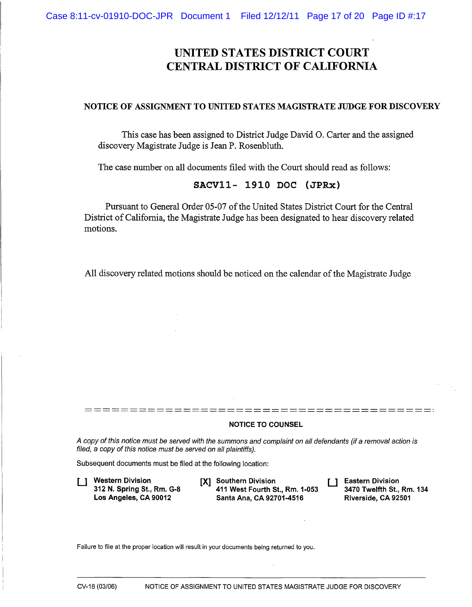# UNITED STATES DISTRICT COURT CENTRAL DISTRICT OF CALIFORNIA

#### NOTICE OF ASSIGNMENT TO UNITED STATES MAGISTRATE JUDGE FOR DISCOVERY

 This case has been assigned to District Judge David O. Carter and the assigned discovery Magistrate Judge is Jean P. Rosenbluth.

The case number on all documents filed with the Court should read as follows:

## SACV11- 1910 DOC (JPRx)

 Pursuant to General Order 05-07 of the United States District Court for the Central District of California, the Magistrate Judge has been designated to hear discovery related motions.

All discovery related motions should be noticed on the calendar of the Magistrate Judge

#### NOTICE TO COUNSEL

------\_\_\_\_\_\_\_\_\_\_\_\_\_\_\_\_\_\_\_\_\_\_\_\_\_\_\_\_\_\_\_\_\_ 0 --------------------------------------\_.

 A copy of this notice must be served with the summons and complaint on all defendants (if a removal action is filed, a copy of this notice must be served on all plaintiffs).

Subsequent documents must be filed at the following location:

 312 N. Spring St., Rm. G·B  Los Angeles, CA 90012 **[ ] Western Division** 

[X] Southern Division 411 West Fourth St., Rm. 1·053 Santa Ana, CA 92701·4516

U Eastern Division 3470 Twelfth St., Rm. 134 Riverside, CA 92501

Failure to file at the proper location will result in your documents being returned to you.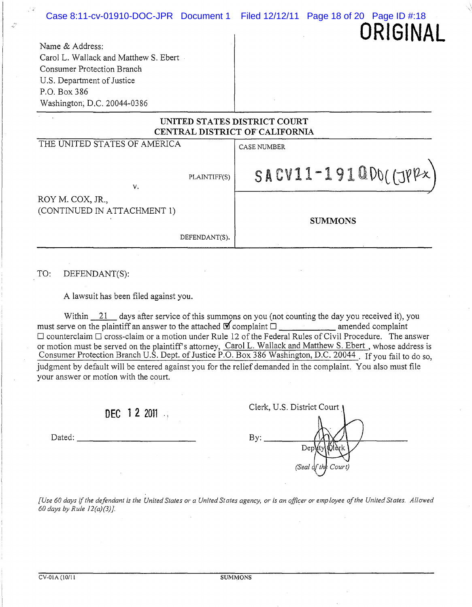| Case 8:11-cv-01910-DOC-JPR Document 1 Filed 12/12/11 Page 18 of 20 Page ID #:18<br>Name & Address:<br>Carol L. Wallack and Matthew S. Ebert<br><b>Consumer Protection Branch</b><br>U.S. Department of Justice<br>P.O. Box 386<br>Washington, D.C. 20044-0386 | ORIGINAL                                                       |  |  |  |  |  |  |
|---------------------------------------------------------------------------------------------------------------------------------------------------------------------------------------------------------------------------------------------------------------|----------------------------------------------------------------|--|--|--|--|--|--|
| UNITED STATES DISTRICT COURT<br>CENTRAL DISTRICT OF CALIFORNIA                                                                                                                                                                                                |                                                                |  |  |  |  |  |  |
| THE UNITED STATES OF AMERICA<br>PLAINTIFF(S)<br>V.<br>ROY M. COX, JR.,<br>(CONTINUED IN ATTACHMENT 1)                                                                                                                                                         | <b>CASE NUMBER</b><br>$SACV11-191QDO(CJPPX)$<br><b>SUMMONS</b> |  |  |  |  |  |  |
| DEFENDANT(S).                                                                                                                                                                                                                                                 |                                                                |  |  |  |  |  |  |

#### TO: DEFENDANT(S):

 $\mathcal{L}^2$ 

A lawsuit has been filed against you.

Within  $\frac{21}{10}$  days after service of this summons on you (not counting the day you received it), you must serve on the plaintiff an answer to the attached  $\blacksquare$  complaint  $\Box$  amended complaint  $\Box$  counterclaim  $\Box$  cross-claim or a motion under Rule 12 of the Federal Rules of Civil Procedure. The answer motion must be served on the plaintiff's attorney, Carol J judgment by default will be entered against you for the relief demanded in the complaint. You also must file your answer or motion with the court. or motion must be served on the plaintiff's attorney, Carol L. Wallack and Matthew S. Ebert, whose address is Consumer Protection Branch U.S. Dept. of Justice P.O. Box 386 Washington, D.C. 20044 . If you fail to do so,

|        | DEC 12 2011 | Clerk, U.S. District Court |
|--------|-------------|----------------------------|
|        |             |                            |
| Dated: |             | Bv:                        |
|        |             | Dei                        |
|        |             | (Seal of the Court)        |

 *[Use 60 days* if *the defendant* is *the United States or a United States agency, or* is *an officer or employee of the United States, Allowed 60 days by Rule 12(a)(3)).*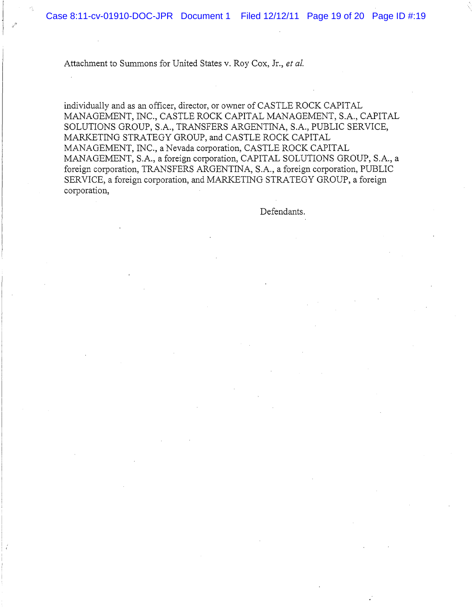Attachment to Summons for United States v. Roy Cox, Jr., *et al.* 

 individually and as an officer, director, or owner of CASTLE ROCK CAPITAL MANAGEMENT, INC., CASTLE ROCK CAPITAL MANAGEMENT, S.A., CAPITAL SOLUTIONS GROUP, S.A., TRANSFERS ARGENTINA, S.A., PUBLIC SERVICE, MARKETING STRATEGY GROUP, and CASTLE ROCK CAPITAL MANAGEMENT, INC., a Nevada corporation, CASTLE ROCK CAPITAL MANAGEMENT, S.A., a foreign corporation, CAPITAL SOLUTIONS GROUP, S.A., a foreign corporation, TRANSFERS ARGENTINA, S.A., a foreign corporation, PUBLIC SERVICE, a foreign corporation, and MARKETING STRATEGY GROUP, a foreign corporation,

Defendants.